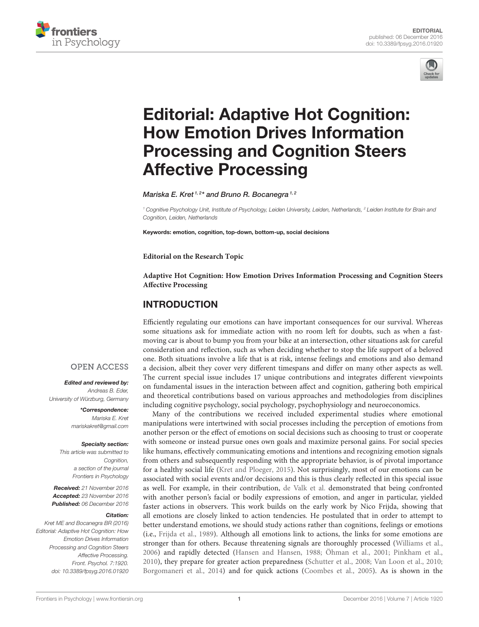



# Editorial: Adaptive Hot Cognition: How Emotion Drives Information [Processing and Cognition Steers](http://journal.frontiersin.org/article/10.3389/fpsyg.2016.01920/full) Affective Processing

[Mariska E. Kret](http://loop.frontiersin.org/people/71515/overview) <sup>1, 2</sup>\* and [Bruno R. Bocanegra](http://loop.frontiersin.org/people/47734/overview) <sup>1, 2</sup>

<sup>1</sup> Cognitive Psychology Unit, Institute of Psychology, Leiden University, Leiden, Netherlands, <sup>2</sup> Leiden Institute for Brain and Cognition, Leiden, Netherlands

Keywords: emotion, cognition, top-down, bottom-up, social decisions

**Editorial on the Research Topic**

**[Adaptive Hot Cognition: How Emotion Drives Information Processing and Cognition Steers](http://journal.frontiersin.org/researchtopic/3211/adaptive-hot-cognition-how-emotion-drives-information-processing-and-cognition-steers-affective-proc) Affective Processing**

### INTRODUCTION

Efficiently regulating our emotions can have important consequences for our survival. Whereas some situations ask for immediate action with no room left for doubts, such as when a fastmoving car is about to bump you from your bike at an intersection, other situations ask for careful consideration and reflection, such as when deciding whether to stop the life support of a beloved one. Both situations involve a life that is at risk, intense feelings and emotions and also demand a decision, albeit they cover very different timespans and differ on many other aspects as well. The current special issue includes 17 unique contributions and integrates different viewpoints on fundamental issues in the interaction between affect and cognition, gathering both empirical and theoretical contributions based on various approaches and methodologies from disciplines including cognitive psychology, social psychology, psychophysiology and neuroeconomics.

Many of the contributions we received included experimental studies where emotional manipulations were intertwined with social processes including the perception of emotions from another person or the effect of emotions on social decisions such as choosing to trust or cooperate with someone or instead pursue ones own goals and maximize personal gains. For social species like humans, effectively communicating emotions and intentions and recognizing emotion signals from others and subsequently responding with the appropriate behavior, is of pivotal importance for a healthy social life [\(Kret and Ploeger, 2015\)](#page-3-0). Not surprisingly, most of our emotions can be associated with social events and/or decisions and this is thus clearly reflected in this special issue as well. For example, in their contribution, [de Valk et al.](https://doi.org/10.3389/fpsyg.2015.01240) demonstrated that being confronted with another person's facial or bodily expressions of emotion, and anger in particular, yielded faster actions in observers. This work builds on the early work by Nico Frijda, showing that all emotions are closely linked to action tendencies. He postulated that in order to attempt to better understand emotions, we should study actions rather than cognitions, feelings or emotions (i.e., [Frijda et al., 1989\)](#page-3-1). Although all emotions link to actions, the links for some emotions are stronger than for others. Because threatening signals are thoroughly processed [\(Williams et al.,](#page-3-2) [2006\)](#page-3-2) and rapidly detected [\(Hansen and Hansen, 1988;](#page-3-3) [Öhman et al., 2001;](#page-3-4) [Pinkham et al.,](#page-3-5) [2010\)](#page-3-5), they prepare for greater action preparedness [\(Schutter et al., 2008;](#page-3-6) [Van Loon et al., 2010;](#page-3-7) [Borgomaneri et al., 2014\)](#page-3-8) and for quick actions [\(Coombes et al., 2005\)](#page-3-9). As is shown in the

### **OPEN ACCESS**

Edited and reviewed by: Andreas B. Eder, University of Würzburg, Germany

> \*Correspondence: Mariska E. Kret [mariskakret@gmail.com](mailto:mariskakret@gmail.com)

#### Specialty section:

This article was submitted to Cognition. a section of the journal Frontiers in Psychology

Received: 21 November 2016 Accepted: 23 November 2016 Published: 06 December 2016

#### Citation:

Kret ME and Bocanegra BR (2016) Editorial: Adaptive Hot Cognition: How Emotion Drives Information Processing and Cognition Steers Affective Processing. Front. Psychol. 7:1920. doi: [10.3389/fpsyg.2016.01920](https://doi.org/10.3389/fpsyg.2016.01920)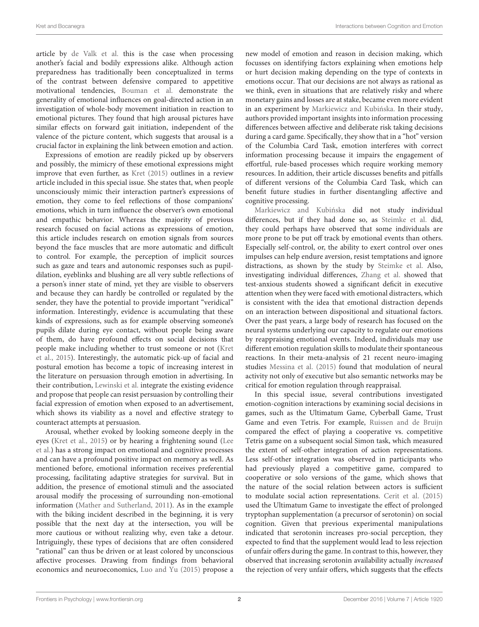article by [de Valk et al.](https://doi.org/10.3389/fpsyg.2015.01240) this is the case when processing another's facial and bodily expressions alike. Although action preparedness has traditionally been conceptualized in terms of the contrast between defensive compared to appetitive motivational tendencies, [Bouman et al.](https://doi.org/10.3389/fpsyg.2015.01667) demonstrate the generality of emotional influences on goal-directed action in an investigation of whole-body movement initiation in reaction to emotional pictures. They found that high arousal pictures have similar effects on forward gait initiation, independent of the valence of the picture content, which suggests that arousal is a crucial factor in explaining the link between emotion and action.

Expressions of emotion are readily picked up by observers and possibly, the mimicry of these emotional expressions might improve that even further, as [Kret \(2015\)](#page-3-10) outlines in a review article included in this special issue. She states that, when people unconsciously mimic their interaction partner's expressions of emotion, they come to feel reflections of those companions' emotions, which in turn influence the observer's own emotional and empathic behavior. Whereas the majority of previous research focused on facial actions as expressions of emotion, this article includes research on emotion signals from sources beyond the face muscles that are more automatic and difficult to control. For example, the perception of implicit sources such as gaze and tears and autonomic responses such as pupildilation, eyeblinks and blushing are all very subtle reflections of a person's inner state of mind, yet they are visible to observers and because they can hardly be controlled or regulated by the sender, they have the potential to provide important "veridical" information. Interestingly, evidence is accumulating that these kinds of expressions, such as for example observing someone's pupils dilate during eye contact, without people being aware of them, do have profound effects on social decisions that people make including whether to trust someone or not (Kret et al., [2015\)](#page-3-11). Interestingly, the automatic pick-up of facial and postural emotion has become a topic of increasing interest in the literature on persuasion through emotion in advertising. In their contribution, [Lewinski et al.](https://doi.org/10.3389/fpsyg.2016.01202) integrate the existing evidence and propose that people can resist persuasion by controlling their facial expression of emotion when exposed to an advertisement, which shows its viability as a novel and effective strategy to counteract attempts at persuasion.

Arousal, whether evoked by looking someone deeply in the [eyes \(Kret et al., 2015\) or by hearing a frightening sound \(Lee](https://doi.org/10.3389/fpsyg.2015.01173) et al.) has a strong impact on emotional and cognitive processes and can have a profound positive impact on memory as well. As mentioned before, emotional information receives preferential processing, facilitating adaptive strategies for survival. But in addition, the presence of emotional stimuli and the associated arousal modify the processing of surrounding non-emotional information [\(Mather and Sutherland, 2011\)](#page-3-12). As in the example with the biking incident described in the beginning, it is very possible that the next day at the intersection, you will be more cautious or without realizing why, even take a detour. Intriguingly, these types of decisions that are often considered "rational" can thus be driven or at least colored by unconscious affective processes. Drawing from findings from behavioral economics and neuroeconomics, [Luo and Yu \(2015\)](#page-3-13) propose a new model of emotion and reason in decision making, which focusses on identifying factors explaining when emotions help or hurt decision making depending on the type of contexts in emotions occur. That our decisions are not always as rational as we think, even in situations that are relatively risky and where monetary gains and losses are at stake, became even more evident in an experiment by Markiewicz and Kubińska. In their study, authors provided important insights into information processing differences between affective and deliberate risk taking decisions during a card game. Specifically, they show that in a "hot" version of the Columbia Card Task, emotion interferes with correct information processing because it impairs the engagement of effortful, rule-based processes which require working memory resources. In addition, their article discusses benefits and pitfalls of different versions of the Columbia Card Task, which can benefit future studies in further disentangling affective and cognitive processing.

Markiewicz and Kubińska did not study individual differences, but if they had done so, as [Steimke et al.](https://doi.org/10.3389/fpsyg.2016.00382) did, they could perhaps have observed that some individuals are more prone to be put off track by emotional events than others. Especially self-control, or, the ability to exert control over ones impulses can help endure aversion, resist temptations and ignore distractions, as shown by the study by [Steimke et al.](https://doi.org/10.3389/fpsyg.2016.00382) Also, investigating individual differences, [Zhang et al.](https://doi.org/10.3389/fpsyg.2015.01486) showed that test-anxious students showed a significant deficit in executive attention when they were faced with emotional distracters, which is consistent with the idea that emotional distraction depends on an interaction between dispositional and situational factors. Over the past years, a large body of research has focused on the neural systems underlying our capacity to regulate our emotions by reappraising emotional events. Indeed, individuals may use different emotion regulation skills to modulate their spontaneous reactions. In their meta-analysis of 21 recent neuro-imaging studies [Messina et al. \(2015\)](#page-3-14) found that modulation of neural activity not only of executive but also semantic networks may be critical for emotion regulation through reappraisal.

In this special issue, several contributions investigated emotion-cognition interactions by examining social decisions in games, such as the Ultimatum Game, Cyberball Game, Trust Game and even Tetris. For example, [Ruissen and de Bruijn](https://doi.org/10.3389/fpsyg.2016.00274) compared the effect of playing a cooperative vs. competitive Tetris game on a subsequent social Simon task, which measured the extent of self-other integration of action representations. Less self-other integration was observed in participants who had previously played a competitive game, compared to cooperative or solo versions of the game, which shows that the nature of the social relation between actors is sufficient to modulate social action representations. [Cerit et al. \(2015\)](#page-3-15) used the Ultimatum Game to investigate the effect of prolonged tryptophan supplementation (a precursor of serotonin) on social cognition. Given that previous experimental manipulations indicated that serotonin increases pro-social perception, they expected to find that the supplement would lead to less rejection of unfair offers during the game. In contrast to this, however, they observed that increasing serotonin availability actually increased the rejection of very unfair offers, which suggests that the effects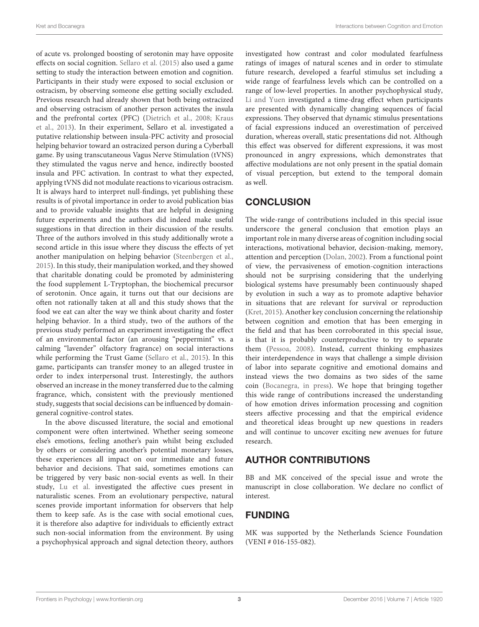of acute vs. prolonged boosting of serotonin may have opposite effects on social cognition. [Sellaro et al. \(2015\)](#page-3-16) also used a game setting to study the interaction between emotion and cognition. Participants in their study were exposed to social exclusion or ostracism, by observing someone else getting socially excluded. Previous research had already shown that both being ostracized and observing ostracism of another person activates the insula and the prefrontal cortex (PFC) [\(Dietrich et al., 2008;](#page-3-17) Kraus et al., [2013\)](#page-3-18). In their experiment, Sellaro et al. investigated a putative relationship between insula-PFC activity and prosocial helping behavior toward an ostracized person during a Cyberball game. By using transcutaneous Vagus Nerve Stimulation (tVNS) they stimulated the vagus nerve and hence, indirectly boosted insula and PFC activation. In contrast to what they expected, applying tVNS did not modulate reactions to vicarious ostracism. It is always hard to interpret null-findings, yet publishing these results is of pivotal importance in order to avoid publication bias and to provide valuable insights that are helpful in designing future experiments and the authors did indeed make useful suggestions in that direction in their discussion of the results. Three of the authors involved in this study additionally wrote a second article in this issue where they discuss the effects of yet another manipulation on helping behavior [\(Steenbergen et al.,](#page-3-19) [2015\)](#page-3-19). In this study, their manipulation worked, and they showed that charitable donating could be promoted by administering the food supplement L-Tryptophan, the biochemical precursor of serotonin. Once again, it turns out that our decisions are often not rationally taken at all and this study shows that the food we eat can alter the way we think about charity and foster helping behavior. In a third study, two of the authors of the previous study performed an experiment investigating the effect of an environmental factor (an arousing "peppermint" vs. a calming "lavender" olfactory fragrance) on social interactions while performing the Trust Game [\(Sellaro et al., 2015\)](#page-3-16). In this game, participants can transfer money to an alleged trustee in order to index interpersonal trust. Interestingly, the authors observed an increase in the money transferred due to the calming fragrance, which, consistent with the previously mentioned study, suggests that social decisions can be influenced by domaingeneral cognitive-control states.

In the above discussed literature, the social and emotional component were often intertwined. Whether seeing someone else's emotions, feeling another's pain whilst being excluded by others or considering another's potential monetary losses, these experiences all impact on our immediate and future behavior and decisions. That said, sometimes emotions can be triggered by very basic non-social events as well. In their study, [Lu et al.](https://doi.org/10.3389/fpsyg.2015.01521) investigated the affective cues present in naturalistic scenes. From an evolutionary perspective, natural scenes provide important information for observers that help them to keep safe. As is the case with social emotional cues, it is therefore also adaptive for individuals to efficiently extract such non-social information from the environment. By using a psychophysical approach and signal detection theory, authors investigated how contrast and color modulated fearfulness ratings of images of natural scenes and in order to stimulate future research, developed a fearful stimulus set including a wide range of fearfulness levels which can be controlled on a range of low-level properties. In another psychophysical study, [Li and Yuen](https://doi.org/10.3389/fpsyg.2015.01248) investigated a time-drag effect when participants are presented with dynamically changing sequences of facial expressions. They observed that dynamic stimulus presentations of facial expressions induced an overestimation of perceived duration, whereas overall, static presentations did not. Although this effect was observed for different expressions, it was most pronounced in angry expressions, which demonstrates that affective modulations are not only present in the spatial domain of visual perception, but extend to the temporal domain as well.

## **CONCLUSION**

The wide-range of contributions included in this special issue underscore the general conclusion that emotion plays an important role in many diverse areas of cognition including social interactions, motivational behavior, decision-making, memory, attention and perception [\(Dolan, 2002\)](#page-3-20). From a functional point of view, the pervasiveness of emotion-cognition interactions should not be surprising considering that the underlying biological systems have presumably been continuously shaped by evolution in such a way as to promote adaptive behavior in situations that are relevant for survival or reproduction [\(Kret, 2015\)](#page-3-10). Another key conclusion concerning the relationship between cognition and emotion that has been emerging in the field and that has been corroborated in this special issue, is that it is probably counterproductive to try to separate them [\(Pessoa, 2008\)](#page-3-21). Instead, current thinking emphasizes their interdependence in ways that challenge a simple division of labor into separate cognitive and emotional domains and instead views the two domains as two sides of the same coin [\(Bocanegra, in press\)](#page-3-22). We hope that bringing together this wide range of contributions increased the understanding of how emotion drives information processing and cognition steers affective processing and that the empirical evidence and theoretical ideas brought up new questions in readers and will continue to uncover exciting new avenues for future research.

### AUTHOR CONTRIBUTIONS

BB and MK conceived of the special issue and wrote the manuscript in close collaboration. We declare no conflict of interest.

## FUNDING

MK was supported by the Netherlands Science Foundation (VENI # 016-155-082).